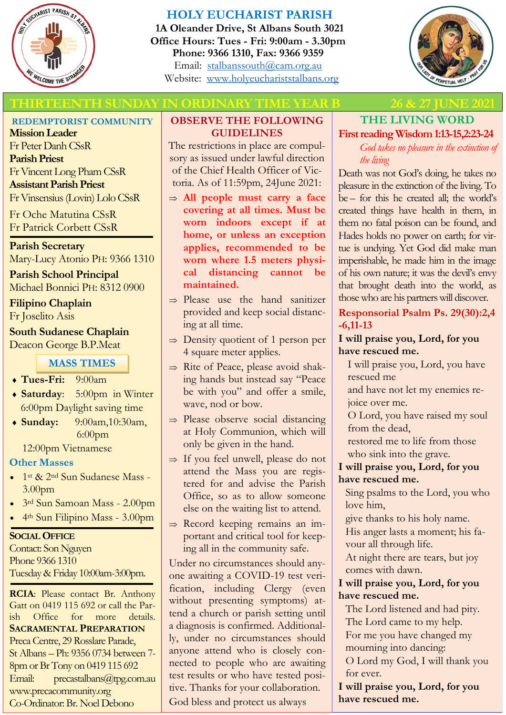

## **HOLY EUCHARIST PARISH**

**1A Oleander Drive, St Albans South 3021 Office Hours: Tues - Fri: 9:00am - 3.30pm Phone: 9366 1310, Fax: 9366 9359** Email: [stalbanssouth@cam.org.au](mailto:stalbanssouth@cam.org.au) Website:[www.holyeuchariststalbans.org](http://www.holyeuchariststalbans.org)



# **THIRTEENTH SUNDAY IN ORDINARY TIME YEAR B** 26 & 27 JUNE 20

**REDEMPTORIST COMMUNITY**

**Mission Leader** Fr Peter Danh CSsR **Parish Priest** Fr Vincent Long Pham CSsR **Assistant Parish Priest**  Fr Vinsensius (Lovin) Lolo CSsR

Fr Oche Matutina CSsR Fr Patrick Corbett CSsR

**Parish Secretary** Mary-Lucy Atonio PH: 9366 1310

**Parish School Principal** Michael Bonnici PH: 8312 0900

**Filipino Chaplain** Fr Joselito Asis

**South Sudanese Chaplain** Deacon George B.P.Meat

## **MASS TIMES**

**Tues-Fri:** 9:00am

- **Saturday**: 5:00pm in Winter 6:00pm Daylight saving time
- **Sunday:** 9:00am,10:30am, 6:00pm

12:00pm Vietnamese

### **Other Masses**

- 1st & 2nd Sun Sudanese Mass 3.00pm
- 3rd Sun Samoan Mass 2.00pm
- 4th Sun Filipino Mass 3.00pm

### **SOCIAL OFFICE**

Contact: Son Nguyen Phone 9366 1310 Tuesday & Friday 10:00am-3:00pm.

**RCIA**: Please contact Br. Anthony Gatt on 0419 115 692 or call the Parish Office for more details. **SACRAMENTAL PREPARATION** Preca Centre, 29 Rosslare Parade, St Albans – Ph: 9356 0734 between 7- 8pm or Br Tony on 0419 115 692 Email: precastalbans@tpg.com.au www.precacommunity.org Co-Ordinator: Br. Noel Debono

**OBSERVE THE FOLLOWING GUIDELINES**

The restrictions in place are compulsory as issued under lawful direction of the Chief Health Officer of Victoria. As of 11:59pm, 24June 2021:

- **All people must carry a face covering at all times. Must be worn indoors except if at home, or unless an exception applies, recommended to be worn where 1.5 meters physical distancing cannot be maintained.**
- $\Rightarrow$  Please use the hand sanitizer provided and keep social distancing at all time.
- $\Rightarrow$  Density quotient of 1 person per 4 square meter applies.
- $\Rightarrow$  Rite of Peace, please avoid shaking hands but instead say "Peace be with you" and offer a smile, wave, nod or bow.
- $\Rightarrow$  Please observe social distancing at Holy Communion, which will only be given in the hand.
- $\Rightarrow$  If you feel unwell, please do not attend the Mass you are registered for and advise the Parish Office, so as to allow someone else on the waiting list to attend.
- $\Rightarrow$  Record keeping remains an important and critical tool for keeping all in the community safe.

Under no circumstances should anyone awaiting a COVID-19 test verification, including Clergy (even without presenting symptoms) attend a church or parish setting until a diagnosis is confirmed. Additionally, under no circumstances should anyone attend who is closely connected to people who are awaiting test results or who have tested positive. Thanks for your collaboration. God bless and protect us always

# **THE LIVING WORD First reading Wisdom 1:13-15,2:23-24**

*God takes no pleasure in the extinction of the living*

Death was not God's doing, he takes no pleasure in the extinction of the living. To be – for this he created all; the world's created things have health in them, in them no fatal poison can be found, and Hades holds no power on earth; for virtue is undying. Yet God did make man imperishable, he made him in the image of his own nature; it was the devil's envy that brought death into the world, as those who are his partners will discover.

## **Responsorial Psalm Ps. 29(30):2,4 -6,11-13**

## **I will praise you, Lord, for you have rescued me.**

I will praise you, Lord, you have rescued me

and have not let my enemies rejoice over me.

O Lord, you have raised my soul from the dead,

restored me to life from those who sink into the grave.

**I will praise you, Lord, for you have rescued me.**

Sing psalms to the Lord, you who love him,

give thanks to his holy name.

His anger lasts a moment; his favour all through life.

At night there are tears, but joy comes with dawn.

## **I will praise you, Lord, for you have rescued me.**

The Lord listened and had pity. The Lord came to my help. For me you have changed my mourning into dancing: O Lord my God, I will thank you for ever.

**I will praise you, Lord, for you have rescued me.**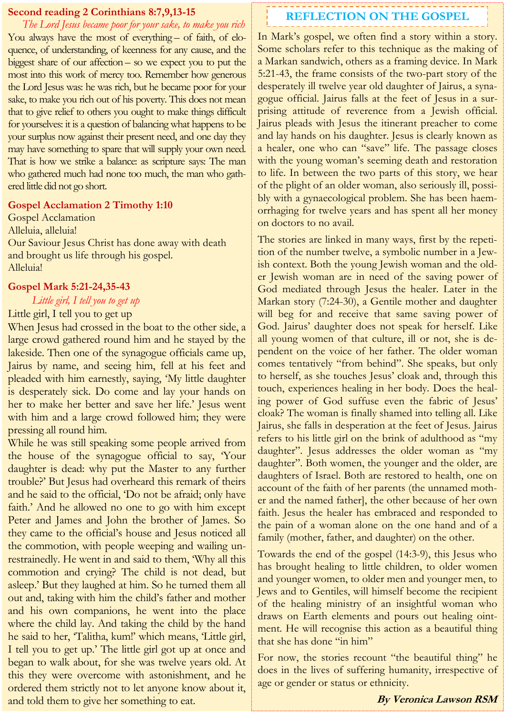#### **Second reading 2 Corinthians 8:7,9,13-15**

*The Lord Jesus became poor for your sake, to make you rich* You always have the most of everything – of faith, of eloquence, of understanding, of keenness for any cause, and the biggest share of our affection – so we expect you to put the most into this work of mercy too. Remember how generous the Lord Jesus was: he was rich, but he became poor for your sake, to make you rich out of his poverty. This does not mean that to give relief to others you ought to make things difficult for yourselves: it is a question of balancing what happens to be your surplus now against their present need, and one day they may have something to spare that will supply your own need. That is how we strike a balance: as scripture says: The man who gathered much had none too much, the man who gathered little did not go short.

#### **Gospel Acclamation 2 Timothy 1:10**

Gospel Acclamation Alleluia, alleluia! Our Saviour Jesus Christ has done away with death and brought us life through his gospel. Alleluia!

#### **Gospel Mark 5:21-24,35-43**

#### *Little girl, I tell you to get up*

#### Little girl, I tell you to get up

When Jesus had crossed in the boat to the other side, a large crowd gathered round him and he stayed by the lakeside. Then one of the synagogue officials came up, Jairus by name, and seeing him, fell at his feet and pleaded with him earnestly, saying, 'My little daughter is desperately sick. Do come and lay your hands on her to make her better and save her life.' Jesus went with him and a large crowd followed him; they were pressing all round him.

While he was still speaking some people arrived from the house of the synagogue official to say, 'Your daughter is dead: why put the Master to any further trouble?' But Jesus had overheard this remark of theirs and he said to the official, 'Do not be afraid; only have faith.' And he allowed no one to go with him except Peter and James and John the brother of James. So they came to the official's house and Jesus noticed all the commotion, with people weeping and wailing unrestrainedly. He went in and said to them, 'Why all this commotion and crying? The child is not dead, but asleep.' But they laughed at him. So he turned them all out and, taking with him the child's father and mother and his own companions, he went into the place where the child lay. And taking the child by the hand he said to her, 'Talitha, kum!' which means, 'Little girl, I tell you to get up.' The little girl got up at once and began to walk about, for she was twelve years old. At this they were overcome with astonishment, and he ordered them strictly not to let anyone know about it, and told them to give her something to eat.

# **REFLECTION ON THE GOSPEL**

In Mark's gospel, we often find a story within a story. Some scholars refer to this technique as the making of a Markan sandwich, others as a framing device. In Mark 5:21-43, the frame consists of the two-part story of the desperately ill twelve year old daughter of Jairus, a synagogue official. Jairus falls at the feet of Jesus in a surprising attitude of reverence from a Jewish official. Jairus pleads with Jesus the itinerant preacher to come and lay hands on his daughter. Jesus is clearly known as a healer, one who can "save" life. The passage closes with the young woman's seeming death and restoration to life. In between the two parts of this story, we hear of the plight of an older woman, also seriously ill, possibly with a gynaecological problem. She has been haemorrhaging for twelve years and has spent all her money on doctors to no avail.

The stories are linked in many ways, first by the repetition of the number twelve, a symbolic number in a Jewish context. Both the young Jewish woman and the older Jewish woman are in need of the saving power of God mediated through Jesus the healer. Later in the Markan story (7:24-30), a Gentile mother and daughter will beg for and receive that same saving power of God. Jairus' daughter does not speak for herself. Like all young women of that culture, ill or not, she is dependent on the voice of her father. The older woman comes tentatively "from behind". She speaks, but only to herself, as she touches Jesus' cloak and, through this touch, experiences healing in her body. Does the healing power of God suffuse even the fabric of Jesus' cloak? The woman is finally shamed into telling all. Like Jairus, she falls in desperation at the feet of Jesus. Jairus refers to his little girl on the brink of adulthood as "my daughter". Jesus addresses the older woman as "my daughter". Both women, the younger and the older, are daughters of Israel. Both are restored to health, one on account of the faith of her parents (the unnamed mother and the named father], the other because of her own faith. Jesus the healer has embraced and responded to the pain of a woman alone on the one hand and of a family (mother, father, and daughter) on the other.

Towards the end of the gospel (14:3-9), this Jesus who has brought healing to little children, to older women and younger women, to older men and younger men, to Jews and to Gentiles, will himself become the recipient of the healing ministry of an insightful woman who draws on Earth elements and pours out healing ointment. He will recognise this action as a beautiful thing that she has done "in him"

For now, the stories recount "the beautiful thing" he does in the lives of suffering humanity, irrespective of age or gender or status or ethnicity.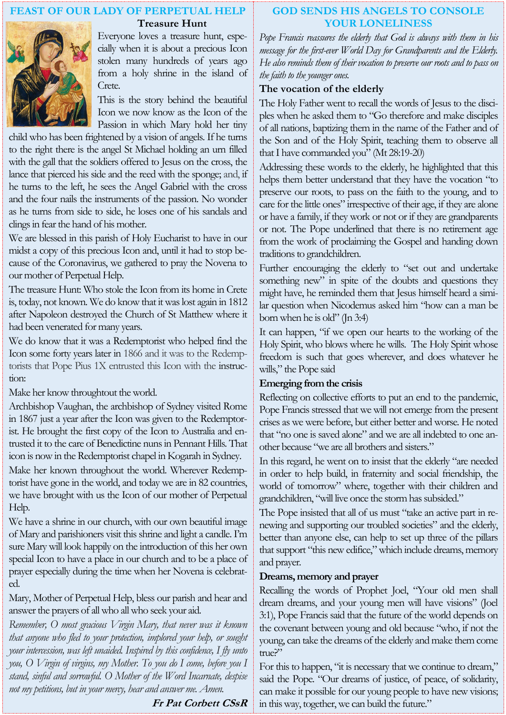#### **FEAST OF OUR LADY OF PERPETUAL HI**





Everyone loves a treasure hunt, especially when it is about a precious Icon stolen many hundreds of years ago from a holy shrine in the island of Crete.

This is the story behind the beautiful Icon we now know as the Icon of the Passion in which Mary hold her tiny

child who has been frightened by a vision of angels. If he turns to the right there is the angel St Michael holding an urn filled with the gall that the soldiers offered to Jesus on the cross, the lance that pierced his side and the reed with the sponge; and, if he turns to the left, he sees the Angel Gabriel with the cross and the four nails the instruments of the passion. No wonder as he turns from side to side, he loses one of his sandals and clings in fear the hand of his mother.

We are blessed in this parish of Holy Eucharist to have in our midst a copy of this precious Icon and, until it had to stop because of the Coronavirus, we gathered to pray the Novena to our mother of Perpetual Help.

The treasure Hunt: Who stole the Icon from its home in Crete is, today, not known. We do know that it was lost again in 1812 after Napoleon destroyed the Church of St Matthew where it had been venerated for many years.

We do know that it was a Redemptorist who helped find the Icon some forty years later in 1866 and it was to the Redemptorists that Pope Pius 1X entrusted this Icon with the instruction:

Make her know throughtout the world.

Archbishop Vaughan, the archbishop of Sydney visited Rome in 1867 just a year after the Icon was given to the Redemptorist. He brought the first copy of the Icon to Australia and entrusted it to the care of Benedictine nuns in Pennant Hills. That icon is now in the Redemptorist chapel in Kogarah in Sydney.

Make her known throughout the world. Wherever Redemptorist have gone in the world, and today we are in 82 countries, we have brought with us the Icon of our mother of Perpetual Help.

We have a shrine in our church, with our own beautiful image of Mary and parishioners visit this shrine and light a candle. I'm sure Mary will look happily on the introduction of this her own special Icon to have a place in our church and to be a place of prayer especially during the time when her Novena is celebrated.

Mary, Mother of Perpetual Help, bless our parish and hear and answer the prayers of all who all who seek your aid.

*Remember, O most gracious Virgin Mary, that never was it known that anyone who fled to your protection, implored your help, or sought your intercession, was left unaided. Inspired by this confidence, I fly unto you, O Virgin of virgins, my Mother. To you do I come, before you I stand, sinful and sorrowful. O Mother of the Word Incarnate, despise not my petitions, but in your mercy, hear and answer me. Amen.*

#### **GOD SENDS HIS ANGELS TO CONSOLE YOUR LONELINESS**

*Pope Francis reassures the elderly that God is always with them in his message for the first-ever World Day for Grandparents and the Elderly. He also reminds them of their vocation to preserve our roots and to pass on the faith to the younger ones.*

#### **The vocation of the elderly**

The Holy Father went to recall the words of Jesus to the disciples when he asked them to "Go therefore and make disciples of all nations, baptizing them in the name of the Father and of the Son and of the Holy Spirit, teaching them to observe all that I have commanded you" (Mt 28:19-20)

Addressing these words to the elderly, he highlighted that this helps them better understand that they have the vocation "to preserve our roots, to pass on the faith to the young, and to care for the little ones" irrespective of their age, if they are alone or have a family, if they work or not or if they are grandparents or not. The Pope underlined that there is no retirement age from the work of proclaiming the Gospel and handing down traditions to grandchildren.

Further encouraging the elderly to "set out and undertake something new" in spite of the doubts and questions they might have, he reminded them that Jesus himself heard a similar question when Nicodemus asked him "how can a man be born when he is old" (Jn 3:4)

It can happen, "if we open our hearts to the working of the Holy Spirit, who blows where he wills. The Holy Spirit whose freedom is such that goes wherever, and does whatever he wills," the Pope said

#### **Emerging from the crisis**

Reflecting on collective efforts to put an end to the pandemic, Pope Francis stressed that we will not emerge from the present crises as we were before, but either better and worse. He noted that "no one is saved alone" and we are all indebted to one another because "we are all brothers and sisters."

In this regard, he went on to insist that the elderly "are needed in order to help build, in fraternity and social friendship, the world of tomorrow" where, together with their children and grandchildren, "will live once the storm has subsided."

The Pope insisted that all of us must "take an active part in renewing and supporting our troubled societies" and the elderly, better than anyone else, can help to set up three of the pillars that support "this new edifice," which include dreams, memory and prayer.

### **Dreams, memory and prayer**

Recalling the words of Prophet Joel, "Your old men shall dream dreams, and your young men will have visions" (Joel 3:1), Pope Francis said that the future of the world depends on the covenant between young and old because "who, if not the young, can take the dreams of the elderly and make them come true?"

For this to happen, "it is necessary that we continue to dream," said the Pope. "Our dreams of justice, of peace, of solidarity, can make it possible for our young people to have new visions; in this way, together, we can build the future."

**Fr Pat Corbett CSsR**